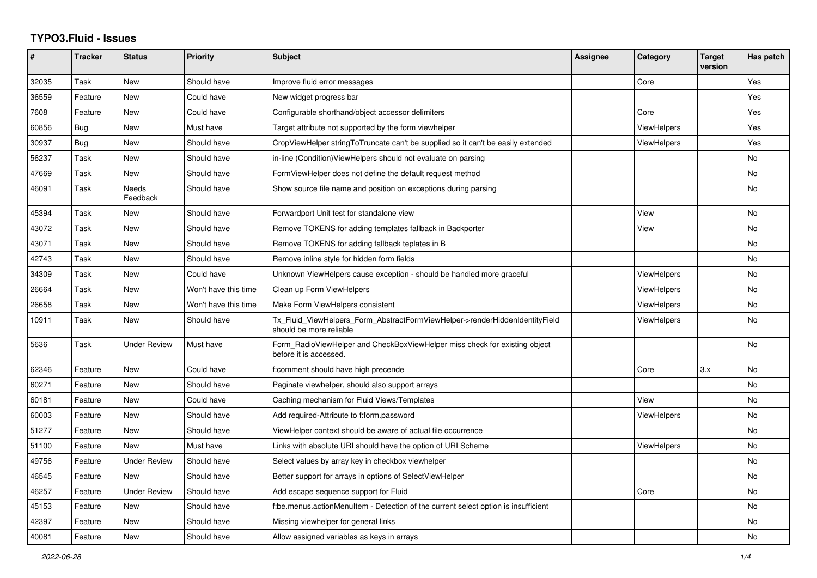## **TYPO3.Fluid - Issues**

| #     | Tracker | <b>Status</b>       | <b>Priority</b>      | <b>Subject</b>                                                                                         | Assignee | Category           | <b>Target</b><br>version | Has patch      |
|-------|---------|---------------------|----------------------|--------------------------------------------------------------------------------------------------------|----------|--------------------|--------------------------|----------------|
| 32035 | Task    | <b>New</b>          | Should have          | Improve fluid error messages                                                                           |          | Core               |                          | Yes            |
| 36559 | Feature | <b>New</b>          | Could have           | New widget progress bar                                                                                |          |                    |                          | Yes            |
| 7608  | Feature | <b>New</b>          | Could have           | Configurable shorthand/object accessor delimiters                                                      |          | Core               |                          | Yes            |
| 60856 | Bug     | <b>New</b>          | Must have            | Target attribute not supported by the form viewhelper                                                  |          | <b>ViewHelpers</b> |                          | Yes            |
| 30937 | Bug     | <b>New</b>          | Should have          | CropViewHelper stringToTruncate can't be supplied so it can't be easily extended                       |          | ViewHelpers        |                          | Yes            |
| 56237 | Task    | <b>New</b>          | Should have          | in-line (Condition) ViewHelpers should not evaluate on parsing                                         |          |                    |                          | No             |
| 47669 | Task    | <b>New</b>          | Should have          | FormViewHelper does not define the default request method                                              |          |                    |                          | No             |
| 46091 | Task    | Needs<br>Feedback   | Should have          | Show source file name and position on exceptions during parsing                                        |          |                    |                          | No             |
| 45394 | Task    | <b>New</b>          | Should have          | Forwardport Unit test for standalone view                                                              |          | View               |                          | No             |
| 43072 | Task    | <b>New</b>          | Should have          | Remove TOKENS for adding templates fallback in Backporter                                              |          | View               |                          | No             |
| 43071 | Task    | <b>New</b>          | Should have          | Remove TOKENS for adding fallback teplates in B                                                        |          |                    |                          | No             |
| 42743 | Task    | <b>New</b>          | Should have          | Remove inline style for hidden form fields                                                             |          |                    |                          | No             |
| 34309 | Task    | <b>New</b>          | Could have           | Unknown ViewHelpers cause exception - should be handled more graceful                                  |          | <b>ViewHelpers</b> |                          | No             |
| 26664 | Task    | New                 | Won't have this time | Clean up Form ViewHelpers                                                                              |          | <b>ViewHelpers</b> |                          | No             |
| 26658 | Task    | <b>New</b>          | Won't have this time | Make Form ViewHelpers consistent                                                                       |          | <b>ViewHelpers</b> |                          | N <sub>o</sub> |
| 10911 | Task    | <b>New</b>          | Should have          | Tx_Fluid_ViewHelpers_Form_AbstractFormViewHelper->renderHiddenIdentityField<br>should be more reliable |          | <b>ViewHelpers</b> |                          | No             |
| 5636  | Task    | <b>Under Review</b> | Must have            | Form_RadioViewHelper and CheckBoxViewHelper miss check for existing object<br>before it is accessed.   |          |                    |                          | No             |
| 62346 | Feature | <b>New</b>          | Could have           | f:comment should have high precende                                                                    |          | Core               | 3.x                      | No             |
| 60271 | Feature | New                 | Should have          | Paginate viewhelper, should also support arrays                                                        |          |                    |                          | No             |
| 60181 | Feature | <b>New</b>          | Could have           | Caching mechanism for Fluid Views/Templates                                                            |          | View               |                          | No             |
| 60003 | Feature | <b>New</b>          | Should have          | Add required-Attribute to f:form.password                                                              |          | <b>ViewHelpers</b> |                          | No             |
| 51277 | Feature | New                 | Should have          | ViewHelper context should be aware of actual file occurrence                                           |          |                    |                          | No             |
| 51100 | Feature | <b>New</b>          | Must have            | Links with absolute URI should have the option of URI Scheme                                           |          | <b>ViewHelpers</b> |                          | No             |
| 49756 | Feature | <b>Under Review</b> | Should have          | Select values by array key in checkbox viewhelper                                                      |          |                    |                          | No             |
| 46545 | Feature | New                 | Should have          | Better support for arrays in options of SelectViewHelper                                               |          |                    |                          | No             |
| 46257 | Feature | <b>Under Review</b> | Should have          | Add escape sequence support for Fluid                                                                  |          | Core               |                          | No             |
| 45153 | Feature | New                 | Should have          | f:be.menus.actionMenuItem - Detection of the current select option is insufficient                     |          |                    |                          | No             |
| 42397 | Feature | New                 | Should have          | Missing viewhelper for general links                                                                   |          |                    |                          | No             |
| 40081 | Feature | <b>New</b>          | Should have          | Allow assigned variables as keys in arrays                                                             |          |                    |                          | No.            |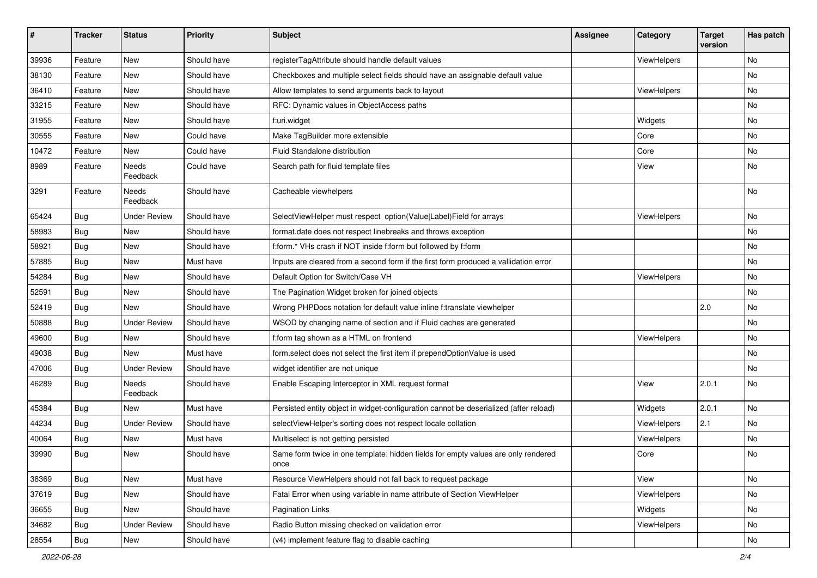| #     | <b>Tracker</b> | <b>Status</b>       | <b>Priority</b> | Subject                                                                                   | <b>Assignee</b> | Category    | <b>Target</b><br>version | Has patch |
|-------|----------------|---------------------|-----------------|-------------------------------------------------------------------------------------------|-----------------|-------------|--------------------------|-----------|
| 39936 | Feature        | New                 | Should have     | registerTagAttribute should handle default values                                         |                 | ViewHelpers |                          | <b>No</b> |
| 38130 | Feature        | New                 | Should have     | Checkboxes and multiple select fields should have an assignable default value             |                 |             |                          | No        |
| 36410 | Feature        | New                 | Should have     | Allow templates to send arguments back to layout                                          |                 | ViewHelpers |                          | No        |
| 33215 | Feature        | New                 | Should have     | RFC: Dynamic values in ObjectAccess paths                                                 |                 |             |                          | No        |
| 31955 | Feature        | New                 | Should have     | f:uri.widget                                                                              |                 | Widgets     |                          | No        |
| 30555 | Feature        | <b>New</b>          | Could have      | Make TagBuilder more extensible                                                           |                 | Core        |                          | <b>No</b> |
| 10472 | Feature        | New                 | Could have      | Fluid Standalone distribution                                                             |                 | Core        |                          | No        |
| 8989  | Feature        | Needs<br>Feedback   | Could have      | Search path for fluid template files                                                      |                 | View        |                          | No        |
| 3291  | Feature        | Needs<br>Feedback   | Should have     | Cacheable viewhelpers                                                                     |                 |             |                          | <b>No</b> |
| 65424 | Bug            | <b>Under Review</b> | Should have     | SelectViewHelper must respect option(Value Label)Field for arrays                         |                 | ViewHelpers |                          | <b>No</b> |
| 58983 | Bug            | New                 | Should have     | format.date does not respect linebreaks and throws exception                              |                 |             |                          | No        |
| 58921 | Bug            | New                 | Should have     | f:form.* VHs crash if NOT inside f:form but followed by f:form                            |                 |             |                          | <b>No</b> |
| 57885 | Bug            | New                 | Must have       | Inputs are cleared from a second form if the first form produced a vallidation error      |                 |             |                          | No        |
| 54284 | Bug            | New                 | Should have     | Default Option for Switch/Case VH                                                         |                 | ViewHelpers |                          | No        |
| 52591 | Bug            | New                 | Should have     | The Pagination Widget broken for joined objects                                           |                 |             |                          | No        |
| 52419 | Bug            | <b>New</b>          | Should have     | Wrong PHPDocs notation for default value inline f:translate viewhelper                    |                 |             | 2.0                      | No        |
| 50888 | Bug            | <b>Under Review</b> | Should have     | WSOD by changing name of section and if Fluid caches are generated                        |                 |             |                          | No        |
| 49600 | Bug            | New                 | Should have     | f:form tag shown as a HTML on frontend                                                    |                 | ViewHelpers |                          | No        |
| 49038 | Bug            | New                 | Must have       | form.select does not select the first item if prependOptionValue is used                  |                 |             |                          | No        |
| 47006 | Bug            | <b>Under Review</b> | Should have     | widget identifier are not unique                                                          |                 |             |                          | No        |
| 46289 | Bug            | Needs<br>Feedback   | Should have     | Enable Escaping Interceptor in XML request format                                         |                 | View        | 2.0.1                    | No        |
| 45384 | Bug            | New                 | Must have       | Persisted entity object in widget-configuration cannot be deserialized (after reload)     |                 | Widgets     | 2.0.1                    | <b>No</b> |
| 44234 | <b>Bug</b>     | <b>Under Review</b> | Should have     | selectViewHelper's sorting does not respect locale collation                              |                 | ViewHelpers | 2.1                      | No        |
| 40064 | Bug            | New                 | Must have       | Multiselect is not getting persisted                                                      |                 | ViewHelpers |                          | <b>No</b> |
| 39990 | <b>Bug</b>     | New                 | Should have     | Same form twice in one template: hidden fields for empty values are only rendered<br>once |                 | Core        |                          | No        |
| 38369 | <b>Bug</b>     | New                 | Must have       | Resource ViewHelpers should not fall back to request package                              |                 | View        |                          | No        |
| 37619 | <b>Bug</b>     | New                 | Should have     | Fatal Error when using variable in name attribute of Section ViewHelper                   |                 | ViewHelpers |                          | No        |
| 36655 | Bug            | New                 | Should have     | Pagination Links                                                                          |                 | Widgets     |                          | No        |
| 34682 | Bug            | <b>Under Review</b> | Should have     | Radio Button missing checked on validation error                                          |                 | ViewHelpers |                          | No        |
| 28554 | Bug            | New                 | Should have     | (v4) implement feature flag to disable caching                                            |                 |             |                          | No        |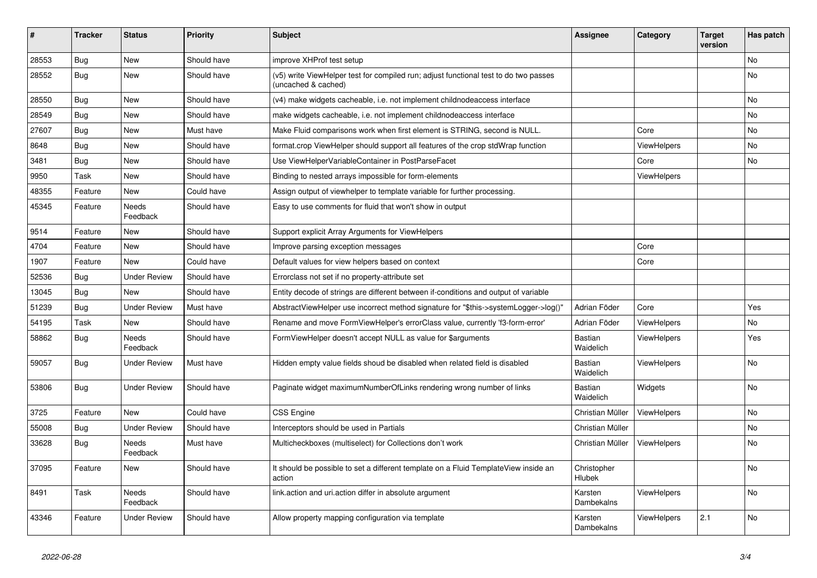| #     | <b>Tracker</b> | <b>Status</b>            | <b>Priority</b> | <b>Subject</b>                                                                                              | Assignee                    | Category           | <b>Target</b><br>version | Has patch |
|-------|----------------|--------------------------|-----------------|-------------------------------------------------------------------------------------------------------------|-----------------------------|--------------------|--------------------------|-----------|
| 28553 | Bug            | <b>New</b>               | Should have     | improve XHProf test setup                                                                                   |                             |                    |                          | No.       |
| 28552 | Bug            | <b>New</b>               | Should have     | (v5) write ViewHelper test for compiled run; adjust functional test to do two passes<br>(uncached & cached) |                             |                    |                          | No        |
| 28550 | Bug            | <b>New</b>               | Should have     | (v4) make widgets cacheable, i.e. not implement childnodeaccess interface                                   |                             |                    |                          | <b>No</b> |
| 28549 | Bug            | <b>New</b>               | Should have     | make widgets cacheable, i.e. not implement childnodeaccess interface                                        |                             |                    |                          | No        |
| 27607 | Bug            | <b>New</b>               | Must have       | Make Fluid comparisons work when first element is STRING, second is NULL.                                   |                             | Core               |                          | No        |
| 8648  | Bug            | <b>New</b>               | Should have     | format.crop ViewHelper should support all features of the crop stdWrap function                             |                             | ViewHelpers        |                          | <b>No</b> |
| 3481  | Bug            | <b>New</b>               | Should have     | Use ViewHelperVariableContainer in PostParseFacet                                                           |                             | Core               |                          | No        |
| 9950  | Task           | <b>New</b>               | Should have     | Binding to nested arrays impossible for form-elements                                                       |                             | <b>ViewHelpers</b> |                          |           |
| 48355 | Feature        | <b>New</b>               | Could have      | Assign output of viewhelper to template variable for further processing.                                    |                             |                    |                          |           |
| 45345 | Feature        | <b>Needs</b><br>Feedback | Should have     | Easy to use comments for fluid that won't show in output                                                    |                             |                    |                          |           |
| 9514  | Feature        | New                      | Should have     | Support explicit Array Arguments for ViewHelpers                                                            |                             |                    |                          |           |
| 4704  | Feature        | New                      | Should have     | Improve parsing exception messages                                                                          |                             | Core               |                          |           |
| 1907  | Feature        | <b>New</b>               | Could have      | Default values for view helpers based on context                                                            |                             | Core               |                          |           |
| 52536 | Bug            | <b>Under Review</b>      | Should have     | Errorclass not set if no property-attribute set                                                             |                             |                    |                          |           |
| 13045 | Bug            | New                      | Should have     | Entity decode of strings are different between if-conditions and output of variable                         |                             |                    |                          |           |
| 51239 | Bug            | <b>Under Review</b>      | Must have       | AbstractViewHelper use incorrect method signature for "\$this->systemLogger->log()"                         | Adrian Föder                | Core               |                          | Yes       |
| 54195 | Task           | New                      | Should have     | Rename and move FormViewHelper's errorClass value, currently 'f3-form-error'                                | Adrian Föder                | ViewHelpers        |                          | No        |
| 58862 | Bug            | Needs<br>Feedback        | Should have     | FormViewHelper doesn't accept NULL as value for \$arguments                                                 | <b>Bastian</b><br>Waidelich | <b>ViewHelpers</b> |                          | Yes       |
| 59057 | Bug            | <b>Under Review</b>      | Must have       | Hidden empty value fields shoud be disabled when related field is disabled                                  | <b>Bastian</b><br>Waidelich | <b>ViewHelpers</b> |                          | No        |
| 53806 | Bug            | <b>Under Review</b>      | Should have     | Paginate widget maximumNumberOfLinks rendering wrong number of links                                        | <b>Bastian</b><br>Waidelich | Widgets            |                          | No        |
| 3725  | Feature        | <b>New</b>               | Could have      | <b>CSS Engine</b>                                                                                           | Christian Müller            | ViewHelpers        |                          | No        |
| 55008 | Bug            | <b>Under Review</b>      | Should have     | Interceptors should be used in Partials                                                                     | Christian Müller            |                    |                          | No        |
| 33628 | Bug            | Needs<br>Feedback        | Must have       | Multicheckboxes (multiselect) for Collections don't work                                                    | Christian Müller            | ViewHelpers        |                          | No        |
| 37095 | Feature        | New                      | Should have     | It should be possible to set a different template on a Fluid TemplateView inside an<br>action               | Christopher<br>Hlubek       |                    |                          | No        |
| 8491  | Task           | <b>Needs</b><br>Feedback | Should have     | link action and uri action differ in absolute argument                                                      | Karsten<br>Dambekalns       | ViewHelpers        |                          | No        |
| 43346 | Feature        | <b>Under Review</b>      | Should have     | Allow property mapping configuration via template                                                           | Karsten<br>Dambekalns       | ViewHelpers        | 2.1                      | No        |